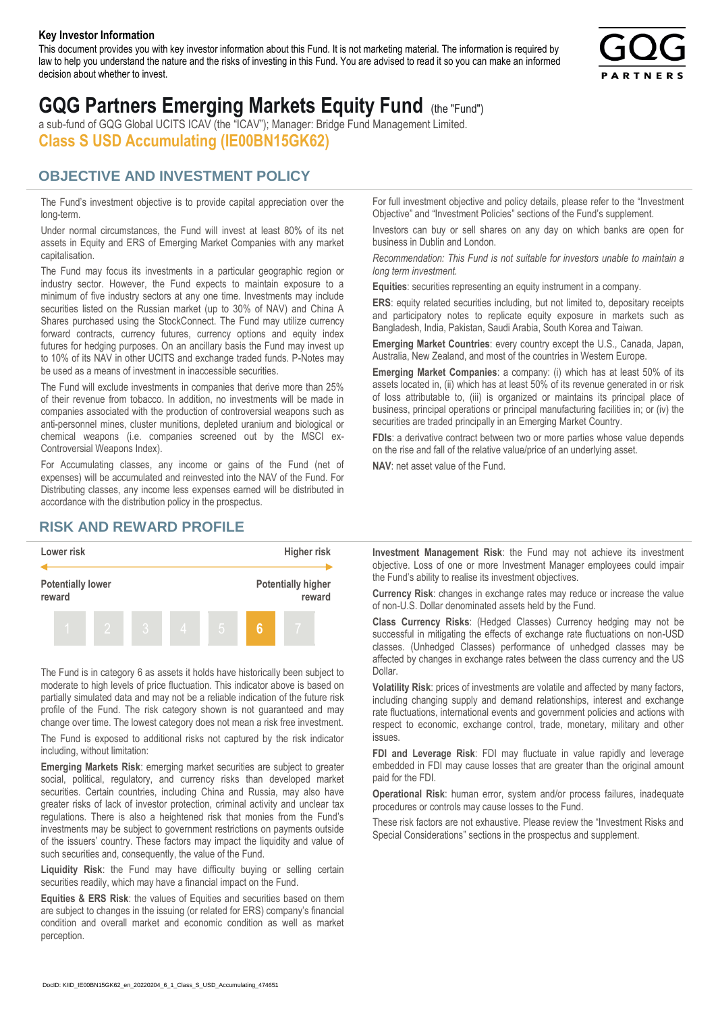#### **Key Investor Information**

This document provides you with key investor information about this Fund. It is not marketing material. The information is required by law to help you understand the nature and the risks of investing in this Fund. You are advised to read it so you can make an informed decision about whether to invest.



# **GQG Partners Emerging Markets Equity Fund** (the "Fund")

a sub-fund of GQG Global UCITS ICAV (the "ICAV"); Manager: Bridge Fund Management Limited. **Class S USD Accumulating (IE00BN15GK62)**

### **OBJECTIVE AND INVESTMENT POLICY**

The Fund's investment objective is to provide capital appreciation over the long-term.

Under normal circumstances, the Fund will invest at least 80% of its net assets in Equity and ERS of Emerging Market Companies with any market capitalisation.

The Fund may focus its investments in a particular geographic region or industry sector. However, the Fund expects to maintain exposure to a minimum of five industry sectors at any one time. Investments may include securities listed on the Russian market (up to 30% of NAV) and China A Shares purchased using the StockConnect. The Fund may utilize currency forward contracts, currency futures, currency options and equity index futures for hedging purposes. On an ancillary basis the Fund may invest up to 10% of its NAV in other UCITS and exchange traded funds. P-Notes may be used as a means of investment in inaccessible securities.

The Fund will exclude investments in companies that derive more than 25% of their revenue from tobacco. In addition, no investments will be made in companies associated with the production of controversial weapons such as anti-personnel mines, cluster munitions, depleted uranium and biological or chemical weapons (i.e. companies screened out by the MSCI ex-Controversial Weapons Index).

For Accumulating classes, any income or gains of the Fund (net of expenses) will be accumulated and reinvested into the NAV of the Fund. For Distributing classes, any income less expenses earned will be distributed in accordance with the distribution policy in the prospectus.

## **RISK AND REWARD PROFILE**



The Fund is in category 6 as assets it holds have historically been subject to moderate to high levels of price fluctuation. This indicator above is based on partially simulated data and may not be a reliable indication of the future risk profile of the Fund. The risk category shown is not guaranteed and may change over time. The lowest category does not mean a risk free investment.

The Fund is exposed to additional risks not captured by the risk indicator including, without limitation:

**Emerging Markets Risk**: emerging market securities are subject to greater social, political, regulatory, and currency risks than developed market securities. Certain countries, including China and Russia, may also have greater risks of lack of investor protection, criminal activity and unclear tax regulations. There is also a heightened risk that monies from the Fund's investments may be subject to government restrictions on payments outside of the issuers' country. These factors may impact the liquidity and value of such securities and, consequently, the value of the Fund.

**Liquidity Risk**: the Fund may have difficulty buying or selling certain securities readily, which may have a financial impact on the Fund.

**Equities & ERS Risk**: the values of Equities and securities based on them are subject to changes in the issuing (or related for ERS) company's financial condition and overall market and economic condition as well as market perception.

For full investment objective and policy details, please refer to the "Investment Objective" and "Investment Policies" sections of the Fund's supplement.

Investors can buy or sell shares on any day on which banks are open for business in Dublin and London.

*Recommendation: This Fund is not suitable for investors unable to maintain a long term investment.*

**Equities**: securities representing an equity instrument in a company.

**ERS:** equity related securities including, but not limited to, depositary receipts and participatory notes to replicate equity exposure in markets such as Bangladesh, India, Pakistan, Saudi Arabia, South Korea and Taiwan.

**Emerging Market Countries**: every country except the U.S., Canada, Japan, Australia, New Zealand, and most of the countries in Western Europe.

**Emerging Market Companies**: a company: (i) which has at least 50% of its assets located in, (ii) which has at least 50% of its revenue generated in or risk of loss attributable to, (iii) is organized or maintains its principal place of business, principal operations or principal manufacturing facilities in; or (iv) the securities are traded principally in an Emerging Market Country.

**FDIs**: a derivative contract between two or more parties whose value depends on the rise and fall of the relative value/price of an underlying asset.

**NAV**: net asset value of the Fund.

**Investment Management Risk**: the Fund may not achieve its investment objective. Loss of one or more Investment Manager employees could impair the Fund's ability to realise its investment objectives.

**Currency Risk**: changes in exchange rates may reduce or increase the value of non-U.S. Dollar denominated assets held by the Fund.

**Class Currency Risks**: (Hedged Classes) Currency hedging may not be successful in mitigating the effects of exchange rate fluctuations on non-USD classes. (Unhedged Classes) performance of unhedged classes may be affected by changes in exchange rates between the class currency and the US Dollar.

**Volatility Risk**: prices of investments are volatile and affected by many factors, including changing supply and demand relationships, interest and exchange rate fluctuations, international events and government policies and actions with respect to economic, exchange control, trade, monetary, military and other issues.

**FDI and Leverage Risk**: FDI may fluctuate in value rapidly and leverage embedded in FDI may cause losses that are greater than the original amount paid for the FDI.

**Operational Risk**: human error, system and/or process failures, inadequate procedures or controls may cause losses to the Fund.

These risk factors are not exhaustive. Please review the "Investment Risks and Special Considerations" sections in the prospectus and supplement.